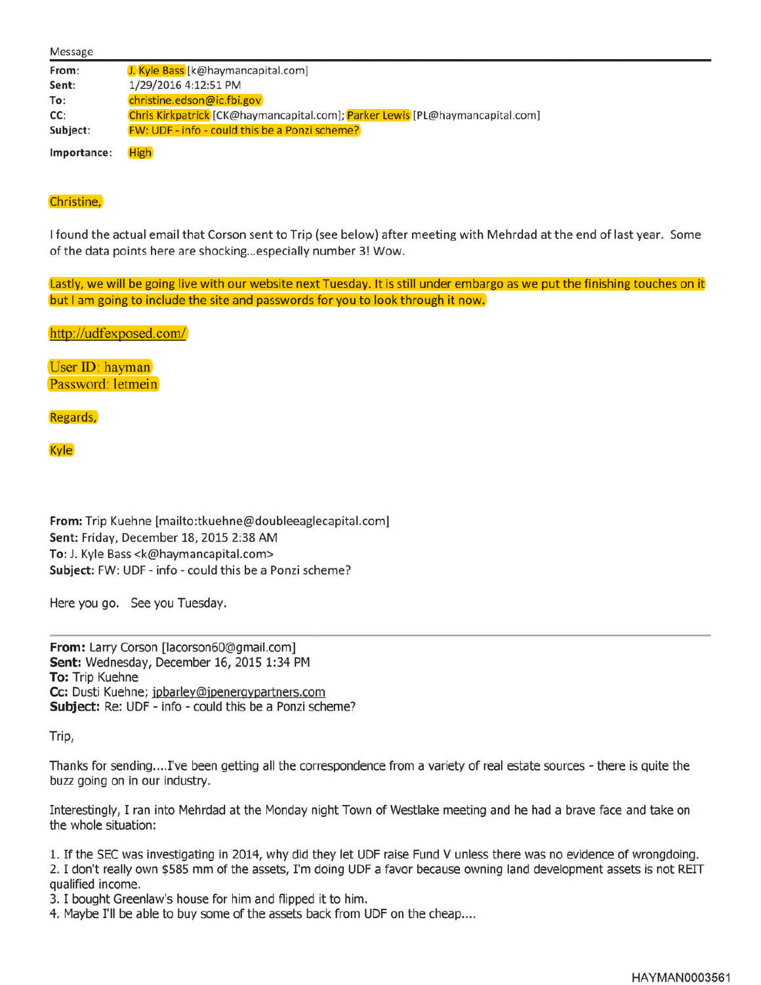| Message     |                                                                               |
|-------------|-------------------------------------------------------------------------------|
| From:       | J. Kyle Bass [k@haymancapital.com]                                            |
| Sent:       | 1/29/2016 4:12:51 PM                                                          |
| To:         | christine.edson@ic.fbi.gov                                                    |
| CC:         | Chris Kirkpatrick [CK@haymancapital.com]; Parker Lewis [PL@haymancapital.com] |
| Subject:    | <b>FW: UDF - info - could this be a Ponzi scheme?</b>                         |
| Importance: | <b>High</b>                                                                   |

## Christine,

I found the actual email that Corson sent to Trip (see below) after meeting with Mehrdad at the end of last year. Some of the data points here are shocking... especially number 3! Wow.

Lastly, we will be going live with our website next Tuesday. It is still under embargo as we put the finishing touches on it but I am going to include the site and passwords for you to look through it now.

http://udfexposed.com/

User ID: hayman Password: letmein

Regards,

**Kyle** 

**From:** Trip Kuehne [mailto:tkuehne@doubleeaglecapital.com] **Sent:** Friday, December 18, 2015 2:38 AM **To:** J. Kyle Bass <k@haymancapital.com> **Subject:** FW: UDF - info - could this be a Ponzi scheme?

Here you go. See you Tuesday.

**From:** Larry Corson [lacorson60@gmail.com] **Sent:** Wednesday, December 16, 2015 1:34 PM **To:** Trip Kuehne **Cc:** Dusti Kuehne; jpbarley@jpenerqypartners.com **Subject:** Re: UDF - info - could this be a Ponzi scheme?

Trip,

Thanks for sending .... I've been getting all the correspondence from a variety of real estate sources - there is quite the buzz going on in our industry.

Interestingly, I ran into Mehrdad at the Monday night Town of Westlake meeting and he had a brave face and take on the whole situation:

1. If the SEC was investigating in 2014, why did they let UDF raise Fund V unless there was no evidence of wrongdoing. 2. I don't really own \$585 mm of the assets, I'm doing UDF a favor because owning land development assets is not REIT qualified income.

- 3. I bought Greenlaw's house for him and flipped it to him.
- 4. Maybe I'll be able to buy some of the assets back from UDF on the cheap....